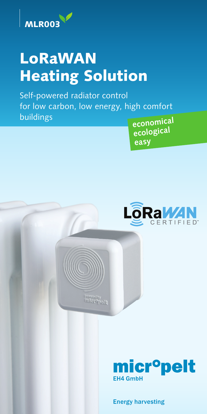

# LoRaWAN Heating Solution

Self-powered radiator control for low carbon, low energy, high comfort buildings

**economical ecological easy**



**Powered by**<br>inderequely



Energy harvesting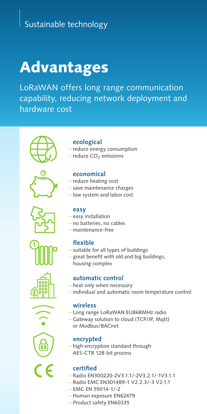# Sustainable technology

# Advantages

LoRaWAN offers long range communication capability, reducing network deployment and hardware cost















## **ecological**

- reduce energy consumption
- $-$  reduce CO<sub>2</sub> emissions

#### **economical**

- reduce heating cost
- save maintenance charges
- low system and labor cost

#### **easy**

- easy installation
- no batteries, no cables
- maintenance-free

### **flexible**

- suitable for all types of buildings
- great benefit with old and big buildings, housing complex

#### **automatic control**

- heat only when necessary
- individual and automatic room temperature control

#### **wireless**

- Long range LoRaWAN EU868MHz radio
- Gateway solution to cloud (TCP/IP, Mqtt) or Modbus/BACnet

#### **encrypted**

– high encryption standard through AES-CTR 128-bit process

#### **certified**

- Radio EN300220-2V3.1.1/-2V3.2.1/-1V3.1.1
- Radio EMC EN301489-1 V2.2.3/-3 V2.1.1
- EMC EN 55014-1/-2
- Human exposure EN62479
- Product safety EN60335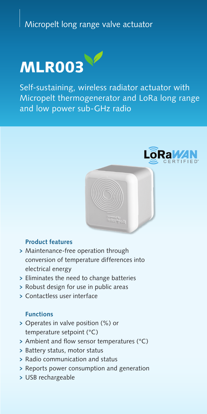# Micropelt long range valve actuator



Self-sustaining, wireless radiator actuator with Micropelt thermogenerator and LoRa long range and low power sub-GHz radio



## **Product features**

- > Maintenance-free operation through conversion of temperature differences into electrical energy
- > Eliminates the need to change batteries
- > Robust design for use in public areas
- > Contactless user interface

## **Functions**

- > Operates in valve position (%) or temperature setpoint (°C)
- <sup>&</sup>gt; Ambient and flow sensor temperatures (°C)
- <sup>&</sup>gt; Battery status, motor status
- <sup>&</sup>gt; Radio communication and status
- <sup>&</sup>gt; Reports power consumption and generation
- > USB rechargeable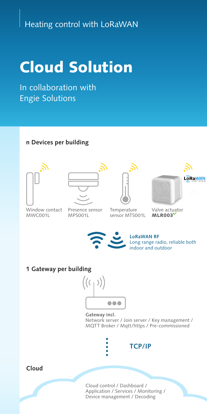# Heating control with LoRaWAN

# Cloud Solution

In collaboration with Engie Solutions

## **n Devices per building**









Window contact MWC001L

- Presence sensor MPS001L
- Temperature sensor MTS001L

Valve actuator MLR003



**LoRaWAN RF** Long range radio, reliable both indoor and outdoor

#### **1 Gateway per building**



**Gateway incl.**

Network server / Join server / Key management / MQTT Broker / Mqtt/https / Pre-commissioned



**TCP/IP**

## **Cloud**

Cloud control / Dashboard / Application / Services / Monitoríng / Device management / Decoding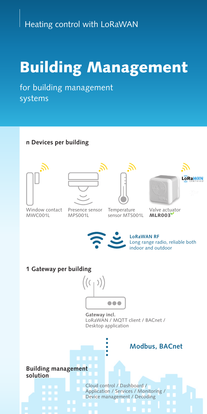# Building Management

for building management systems

## **n Devices per building**







**LoRaWAN** 

Window contact MWC001L

Presence sensor MPS001L

Temperature sensor MTS001L





#### **1 Gateway per building**



**Gateway incl.** LoRaWAN / MQTT client / BACnet / Desktop application